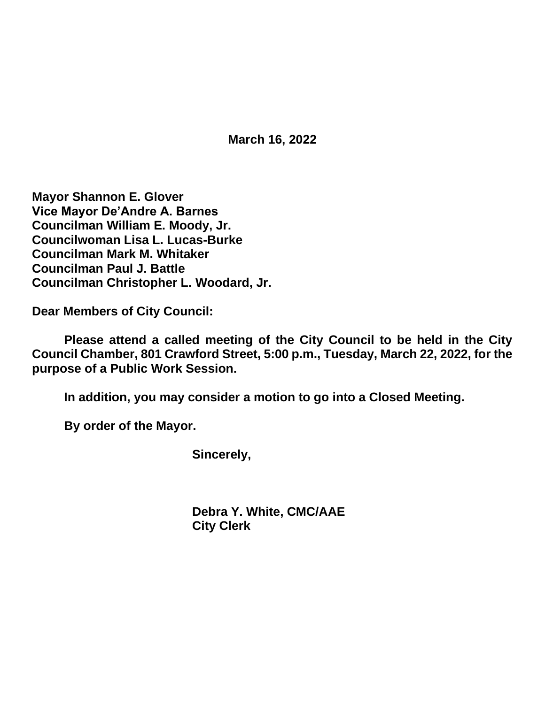**March 16, 2022**

**Mayor Shannon E. Glover Vice Mayor De'Andre A. Barnes Councilman William E. Moody, Jr. Councilwoman Lisa L. Lucas-Burke Councilman Mark M. Whitaker Councilman Paul J. Battle Councilman Christopher L. Woodard, Jr.**

**Dear Members of City Council:**

**Please attend a called meeting of the City Council to be held in the City Council Chamber, 801 Crawford Street, 5:00 p.m., Tuesday, March 22, 2022, for the purpose of a Public Work Session.**

**In addition, you may consider a motion to go into a Closed Meeting.**

**By order of the Mayor.**

**Sincerely,**

**Debra Y. White, CMC/AAE City Clerk**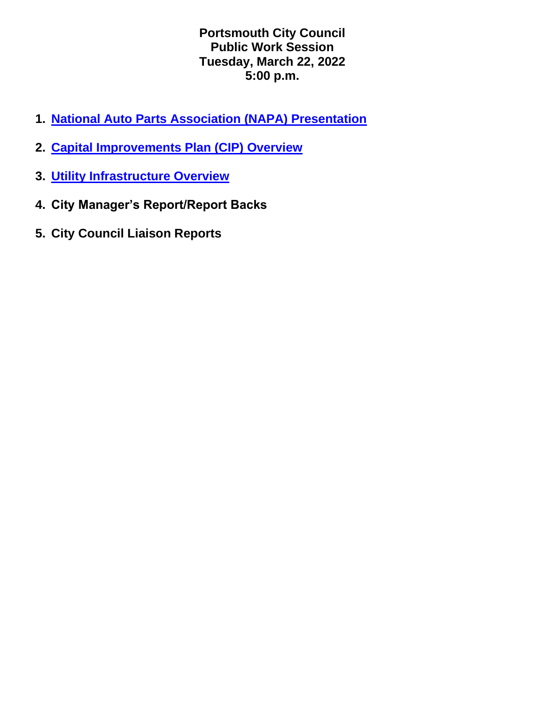**Portsmouth City Council Public Work Session Tuesday, March 22, 2022 5:00 p.m.**

- **1. [National Auto Parts Association \(NAPA\) Presentation](https://www.portsmouthva.gov/DocumentCenter/View/12113/IBS-Presentation)**
- **2. [Capital Improvements Plan \(CIP\) Overview](https://www.portsmouthva.gov/DocumentCenter/View/12120/FinalCIP-March-22-2022-updated--JW)**
- **3. [Utility Infrastructure Overview](https://www.portsmouthva.gov/DocumentCenter/View/12121/Final-Public-Utilites-Update-March-22-2022_mT2pp)**
- **4. City Manager's Report/Report Backs**
- **5. City Council Liaison Reports**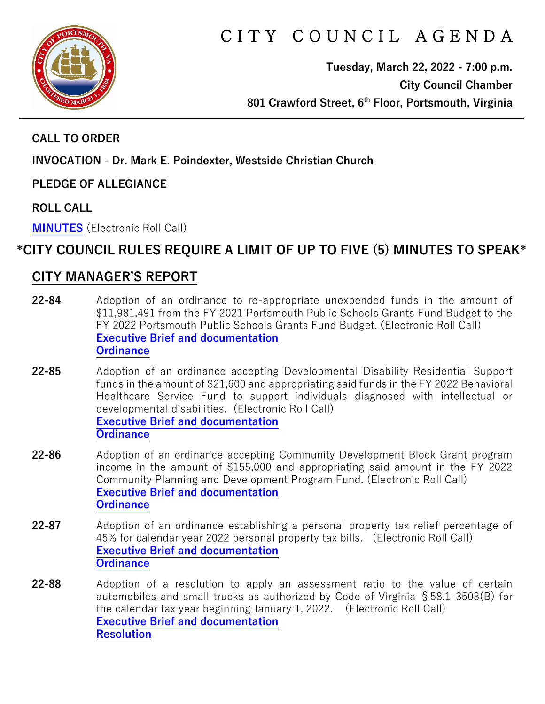

# CITY COUNCIL AGENDA

**Tuesday, March 22, 2022 - 7:00 p.m. City Council Chamber 801 Crawford Street, 6th Floor, Portsmouth, Virginia**

#### **CALL TO ORDER**

**INVOCATION - Dr. Mark E. Poindexter, Westside Christian Church** 

**PLEDGE OF ALLEGIANCE** 

**ROLL CALL**

**[MINUTES](https://www.portsmouthva.gov/DocumentCenter/View/12105/City-Council-Minutes)** (Electronic Roll Call)

# **\*CITY COUNCIL RULES REQUIRE A LIMIT OF UP TO FIVE (5) MINUTES TO SPEAK\***

### **CITY MANAGER'S REPORT**

- **22-84** Adoption of an ordinance to re-appropriate unexpended funds in the amount of \$11,981,491 from the FY 2021 Portsmouth Public Schools Grants Fund Budget to the FY 2022 Portsmouth Public Schools Grants Fund Budget. (Electronic Roll Call) **[Executive Brief and documentation](https://www.portsmouthva.gov/DocumentCenter/View/12088/22-84-CMR-and-documentation) [Ordinance](https://www.portsmouthva.gov/DocumentCenter/View/12089/22-84-Ordinance)**
- **22-85** Adoption of an ordinance accepting Developmental Disability Residential Support funds in the amount of \$21,600 and appropriating said funds in the FY 2022 Behavioral Healthcare Service Fund to support individuals diagnosed with intellectual or developmental disabilities. (Electronic Roll Call) **[Executive Brief and documentation](https://www.portsmouthva.gov/DocumentCenter/View/12090/22-85-CMR-and-documentation) [Ordinance](https://www.portsmouthva.gov/DocumentCenter/View/12091/22-85-Ordinance)**
- **22-86** Adoption of an ordinance accepting Community Development Block Grant program income in the amount of \$155,000 and appropriating said amount in the FY 2022 Community Planning and Development Program Fund. (Electronic Roll Call) **[Executive Brief and documentation](https://www.portsmouthva.gov/DocumentCenter/View/12092/22-86-CMR-and-documentation) [Ordinance](https://www.portsmouthva.gov/DocumentCenter/View/12093/22-86-Ordinance)**
- **22-87** Adoption of an ordinance establishing a personal property tax relief percentage of 45% for calendar year 2022 personal property tax bills. (Electronic Roll Call) **[Executive Brief and documentation](https://www.portsmouthva.gov/DocumentCenter/View/12094/22-87-CMR-and-documentation) [Ordinance](https://www.portsmouthva.gov/DocumentCenter/View/12095/22-87-Ordinance)**
- **22-88** Adoption of a resolution to apply an assessment ratio to the value of certain automobiles and small trucks as authorized by Code of Virginia §58.1-3503(B) for the calendar tax year beginning January 1, 2022. (Electronic Roll Call) **[Executive Brief and documentation](https://www.portsmouthva.gov/DocumentCenter/View/12096/22-88-CMR-and-documentation) [Resolution](https://www.portsmouthva.gov/DocumentCenter/View/12097/22-88-Resolution)**